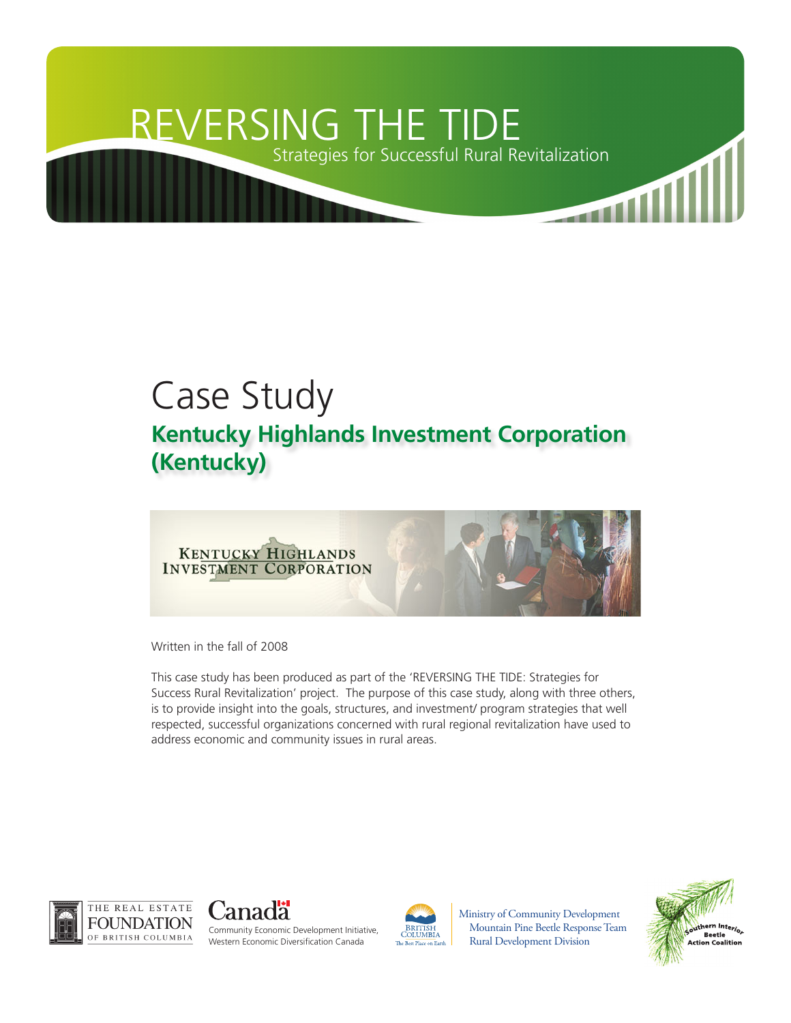# REVERSING THE TIDE Strategies for Successful Rural Revitalization

## Case Study **Kentucky Highlands Investment Corporation (Kentucky)**



Written in the fall of 2008

This case study has been produced as part of the 'REVERSING THE TIDE: Strategies for Success Rural Revitalization' project. The purpose of this case study, along with three others, is to provide insight into the goals, structures, and investment/ program strategies that well respected, successful organizations concerned with rural regional revitalization have used to address economic and community issues in rural areas.





Community Economic Development Initiative, Western Economic Diversification Canada



Ministry of Community Development Mountain Pine Beetle Response Team Rural Development Division

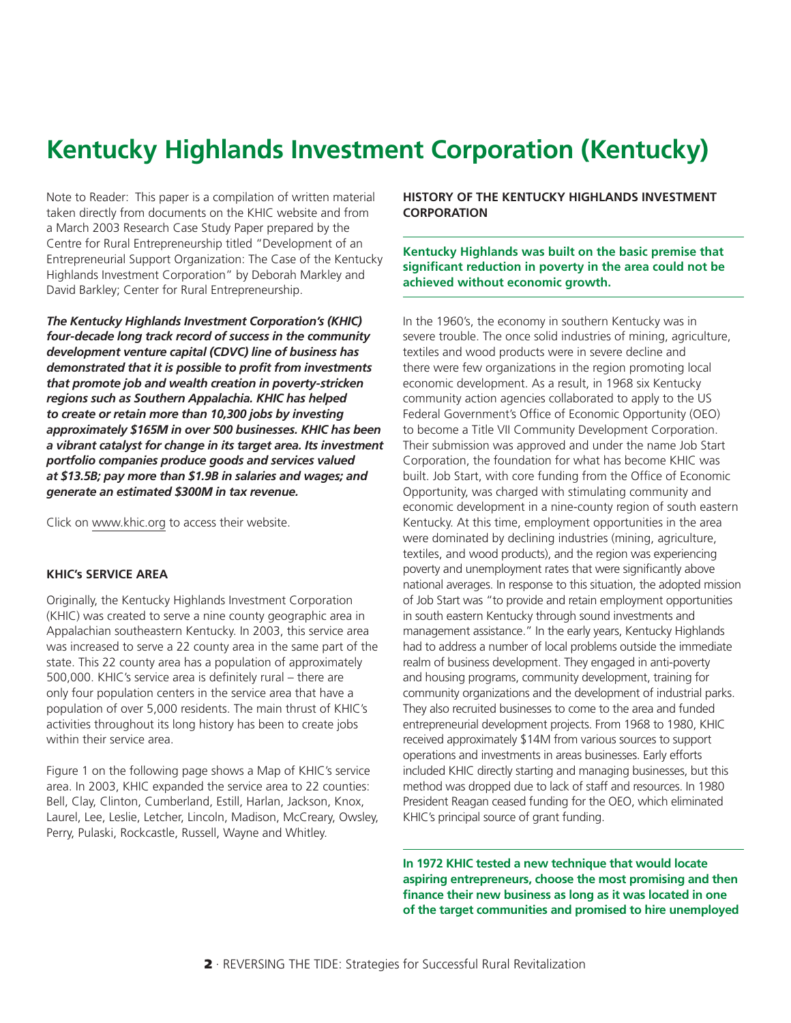## **Kentucky Highlands Investment Corporation (Kentucky)**

Note to Reader: This paper is a compilation of written material taken directly from documents on the KHIC website and from a March 2003 Research Case Study Paper prepared by the Centre for Rural Entrepreneurship titled "Development of an Entrepreneurial Support Organization: The Case of the Kentucky Highlands Investment Corporation" by Deborah Markley and David Barkley; Center for Rural Entrepreneurship.

*The Kentucky Highlands Investment Corporation's (KHIC) four-decade long track record of success in the community development venture capital (CDVC) line of business has demonstrated that it is possible to profit from investments that promote job and wealth creation in poverty-stricken regions such as Southern Appalachia. KHIC has helped to create or retain more than 10,300 jobs by investing approximately \$165M in over 500 businesses. KHIC has been a vibrant catalyst for change in its target area. Its investment portfolio companies produce goods and services valued at \$13.5B; pay more than \$1.9B in salaries and wages; and generate an estimated \$300M in tax revenue.* 

Click on [www.khic.org](http://www.khic.org) to access their website.

#### **KHIC's SERVICE AREA**

Originally, the Kentucky Highlands Investment Corporation (KHIC) was created to serve a nine county geographic area in Appalachian southeastern Kentucky. In 2003, this service area was increased to serve a 22 county area in the same part of the state. This 22 county area has a population of approximately 500,000. KHIC's service area is definitely rural – there are only four population centers in the service area that have a population of over 5,000 residents. The main thrust of KHIC's activities throughout its long history has been to create jobs within their service area.

Figure 1 on the following page shows a Map of KHIC's service area. In 2003, KHIC expanded the service area to 22 counties: Bell, Clay, Clinton, Cumberland, Estill, Harlan, Jackson, Knox, Laurel, Lee, Leslie, Letcher, Lincoln, Madison, McCreary, Owsley, Perry, Pulaski, Rockcastle, Russell, Wayne and Whitley.

**HISTORY OF THE KENTUCKY HIGHLANDS INVESTMENT CORPORATION**

**Kentucky Highlands was built on the basic premise that significant reduction in poverty in the area could not be achieved without economic growth.**

In the 1960's, the economy in southern Kentucky was in severe trouble. The once solid industries of mining, agriculture, textiles and wood products were in severe decline and there were few organizations in the region promoting local economic development. As a result, in 1968 six Kentucky community action agencies collaborated to apply to the US Federal Government's Office of Economic Opportunity (OEO) to become a Title VII Community Development Corporation. Their submission was approved and under the name Job Start Corporation, the foundation for what has become KHIC was built. Job Start, with core funding from the Office of Economic Opportunity, was charged with stimulating community and economic development in a nine-county region of south eastern Kentucky. At this time, employment opportunities in the area were dominated by declining industries (mining, agriculture, textiles, and wood products), and the region was experiencing poverty and unemployment rates that were significantly above national averages. In response to this situation, the adopted mission of Job Start was "to provide and retain employment opportunities in south eastern Kentucky through sound investments and management assistance." In the early years, Kentucky Highlands had to address a number of local problems outside the immediate realm of business development. They engaged in anti-poverty and housing programs, community development, training for community organizations and the development of industrial parks. They also recruited businesses to come to the area and funded entrepreneurial development projects. From 1968 to 1980, KHIC received approximately \$14M from various sources to support operations and investments in areas businesses. Early efforts included KHIC directly starting and managing businesses, but this method was dropped due to lack of staff and resources. In 1980 President Reagan ceased funding for the OEO, which eliminated KHIC's principal source of grant funding.

**In 1972 KHIC tested a new technique that would locate aspiring entrepreneurs, choose the most promising and then finance their new business as long as it was located in one of the target communities and promised to hire unemployed**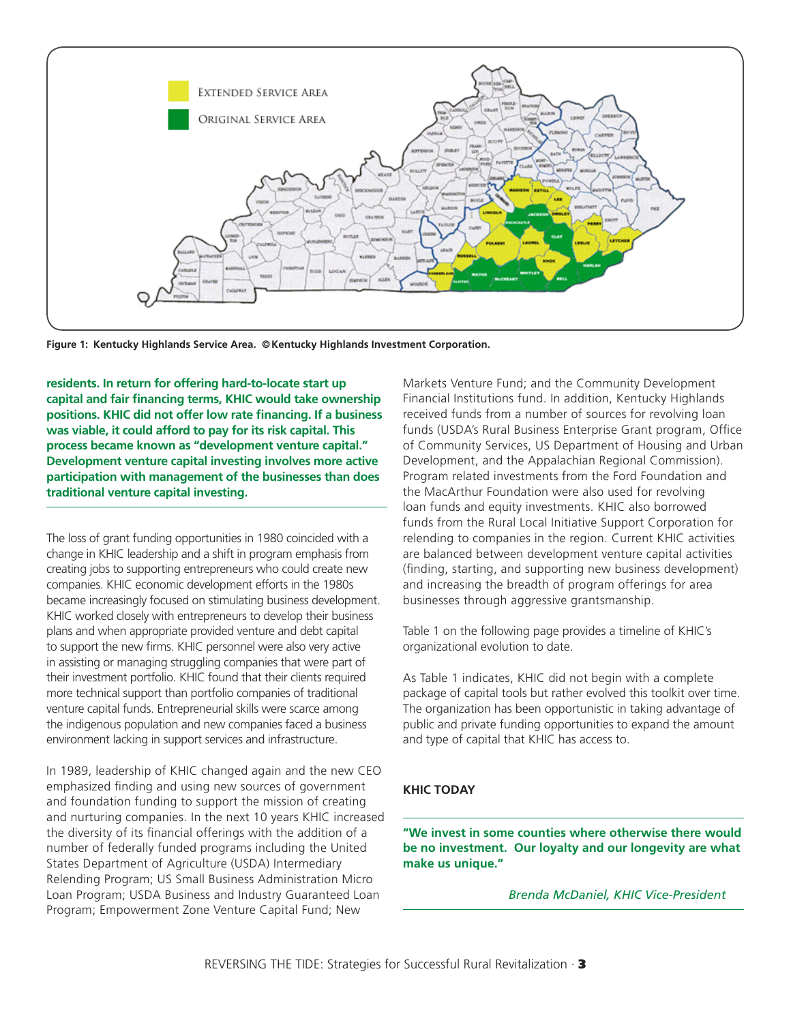

**Figure 1: Kentucky Highlands Service Area. © Kentucky Highlands Investment Corporation.**

**residents. In return for offering hard-to-locate start up capital and fair financing terms, KHIC would take ownership positions. KHIC did not offer low rate financing. If a business was viable, it could afford to pay for its risk capital. This process became known as "development venture capital." Development venture capital investing involves more active participation with management of the businesses than does traditional venture capital investing.** 

The loss of grant funding opportunities in 1980 coincided with a change in KHIC leadership and a shift in program emphasis from creating jobs to supporting entrepreneurs who could create new companies. KHIC economic development efforts in the 1980s became increasingly focused on stimulating business development. KHIC worked closely with entrepreneurs to develop their business plans and when appropriate provided venture and debt capital to support the new firms. KHIC personnel were also very active in assisting or managing struggling companies that were part of their investment portfolio. KHIC found that their clients required more technical support than portfolio companies of traditional venture capital funds. Entrepreneurial skills were scarce among the indigenous population and new companies faced a business environment lacking in support services and infrastructure.

In 1989, leadership of KHIC changed again and the new CEO emphasized finding and using new sources of government and foundation funding to support the mission of creating and nurturing companies. In the next 10 years KHIC increased the diversity of its financial offerings with the addition of a number of federally funded programs including the United States Department of Agriculture (USDA) Intermediary Relending Program; US Small Business Administration Micro Loan Program; USDA Business and Industry Guaranteed Loan Program; Empowerment Zone Venture Capital Fund; New

Markets Venture Fund; and the Community Development Financial Institutions fund. In addition, Kentucky Highlands received funds from a number of sources for revolving loan funds (USDA's Rural Business Enterprise Grant program, Office of Community Services, US Department of Housing and Urban Development, and the Appalachian Regional Commission). Program related investments from the Ford Foundation and the MacArthur Foundation were also used for revolving loan funds and equity investments. KHIC also borrowed funds from the Rural Local Initiative Support Corporation for relending to companies in the region. Current KHIC activities are balanced between development venture capital activities (finding, starting, and supporting new business development) and increasing the breadth of program offerings for area businesses through aggressive grantsmanship.

Table 1 on the following page provides a timeline of KHIC's organizational evolution to date.

As Table 1 indicates, KHIC did not begin with a complete package of capital tools but rather evolved this toolkit over time. The organization has been opportunistic in taking advantage of public and private funding opportunities to expand the amount and type of capital that KHIC has access to.

#### **KHIC TODAY**

**"We invest in some counties where otherwise there would be no investment. Our loyalty and our longevity are what make us unique."**

*Brenda McDaniel, KHIC Vice-President*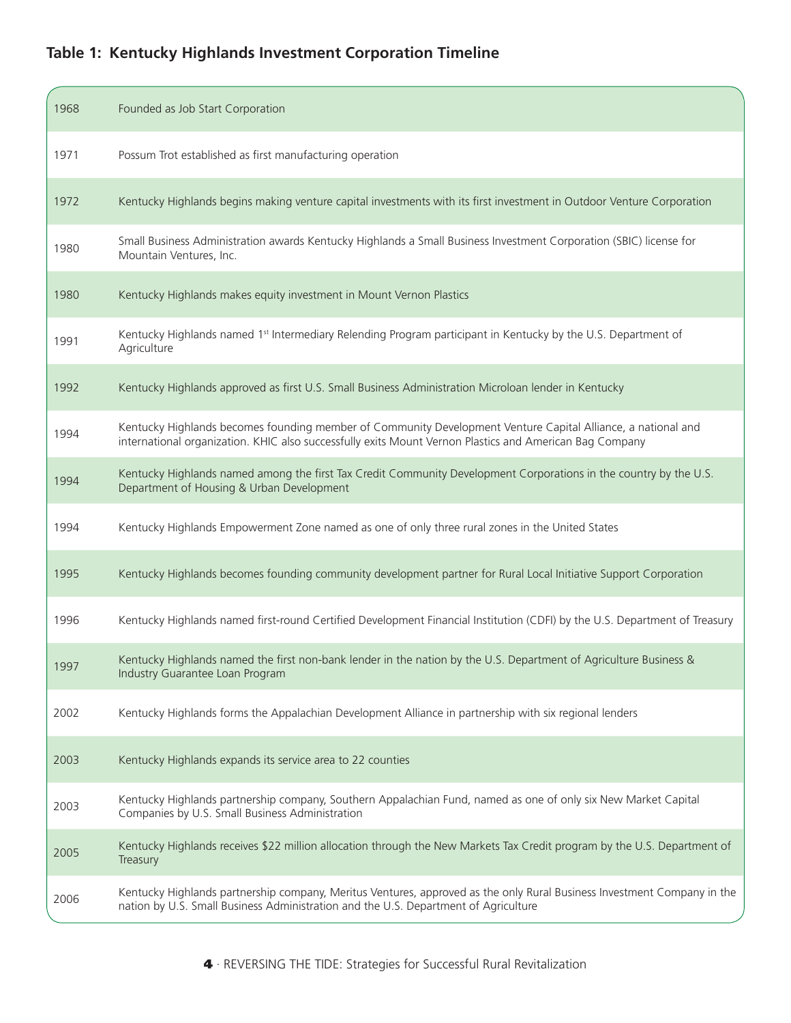### **Table 1: Kentucky Highlands Investment Corporation Timeline**

| 1968 | Founded as Job Start Corporation                                                                                                                                                                                        |
|------|-------------------------------------------------------------------------------------------------------------------------------------------------------------------------------------------------------------------------|
| 1971 | Possum Trot established as first manufacturing operation                                                                                                                                                                |
| 1972 | Kentucky Highlands begins making venture capital investments with its first investment in Outdoor Venture Corporation                                                                                                   |
| 1980 | Small Business Administration awards Kentucky Highlands a Small Business Investment Corporation (SBIC) license for<br>Mountain Ventures, Inc.                                                                           |
| 1980 | Kentucky Highlands makes equity investment in Mount Vernon Plastics                                                                                                                                                     |
| 1991 | Kentucky Highlands named 1 <sup>st</sup> Intermediary Relending Program participant in Kentucky by the U.S. Department of<br>Agriculture                                                                                |
| 1992 | Kentucky Highlands approved as first U.S. Small Business Administration Microloan lender in Kentucky                                                                                                                    |
| 1994 | Kentucky Highlands becomes founding member of Community Development Venture Capital Alliance, a national and<br>international organization. KHIC also successfully exits Mount Vernon Plastics and American Bag Company |
| 1994 | Kentucky Highlands named among the first Tax Credit Community Development Corporations in the country by the U.S.<br>Department of Housing & Urban Development                                                          |
| 1994 | Kentucky Highlands Empowerment Zone named as one of only three rural zones in the United States                                                                                                                         |
| 1995 | Kentucky Highlands becomes founding community development partner for Rural Local Initiative Support Corporation                                                                                                        |
| 1996 | Kentucky Highlands named first-round Certified Development Financial Institution (CDFI) by the U.S. Department of Treasury                                                                                              |
| 1997 | Kentucky Highlands named the first non-bank lender in the nation by the U.S. Department of Agriculture Business &<br>Industry Guarantee Loan Program                                                                    |
| 2002 | Kentucky Highlands forms the Appalachian Development Alliance in partnership with six regional lenders                                                                                                                  |
| 2003 | Kentucky Highlands expands its service area to 22 counties                                                                                                                                                              |
| 2003 | Kentucky Highlands partnership company, Southern Appalachian Fund, named as one of only six New Market Capital<br>Companies by U.S. Small Business Administration                                                       |
| 2005 | Kentucky Highlands receives \$22 million allocation through the New Markets Tax Credit program by the U.S. Department of<br>Treasury                                                                                    |
| 2006 | Kentucky Highlands partnership company, Meritus Ventures, approved as the only Rural Business Investment Company in the<br>nation by U.S. Small Business Administration and the U.S. Department of Agriculture          |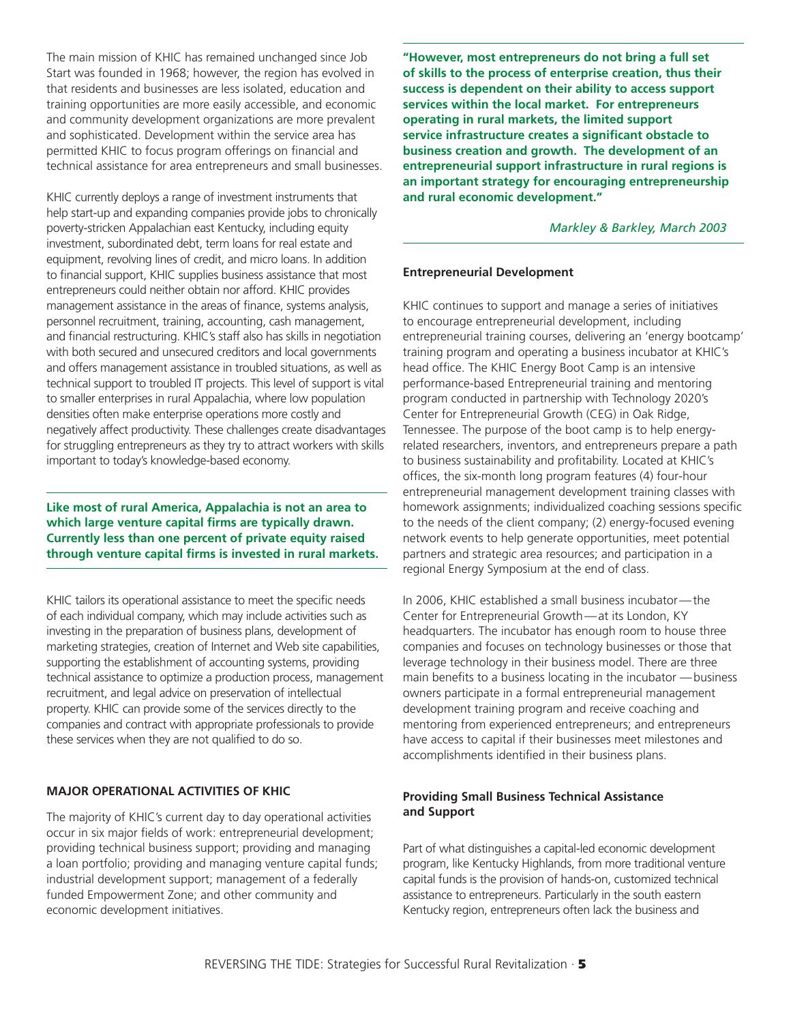The main mission of KHIC has remained unchanged since Job Start was founded in 1968; however, the region has evolved in that residents and businesses are less isolated, education and training opportunities are more easily accessible, and economic and community development organizations are more prevalent and sophisticated. Development within the service area has permitted KHIC to focus program offerings on financial and technical assistance for area entrepreneurs and small businesses.

KHIC currently deploys a range of investment instruments that help start-up and expanding companies provide jobs to chronically poverty-stricken Appalachian east Kentucky, including equity investment, subordinated debt, term loans for real estate and equipment, revolving lines of credit, and micro loans. In addition to financial support, KHIC supplies business assistance that most entrepreneurs could neither obtain nor afford. KHIC provides management assistance in the areas of finance, systems analysis, personnel recruitment, training, accounting, cash management, and financial restructuring. KHIC's staff also has skills in negotiation with both secured and unsecured creditors and local governments and offers management assistance in troubled situations, as well as technical support to troubled IT projects. This level of support is vital to smaller enterprises in rural Appalachia, where low population densities often make enterprise operations more costly and negatively affect productivity. These challenges create disadvantages for struggling entrepreneurs as they try to attract workers with skills important to today's knowledge-based economy.

**Like most of rural America, Appalachia is not an area to which large venture capital firms are typically drawn. Currently less than one percent of private equity raised through venture capital firms is invested in rural markets.** 

KHIC tailors its operational assistance to meet the specific needs of each individual company, which may include activities such as investing in the preparation of business plans, development of marketing strategies, creation of Internet and Web site capabilities, supporting the establishment of accounting systems, providing technical assistance to optimize a production process, management recruitment, and legal advice on preservation of intellectual property. KHIC can provide some of the services directly to the companies and contract with appropriate professionals to provide these services when they are not qualified to do so.

#### **MAJOR OPERATIONAL ACTIVITIES OF KHIC**

The majority of KHIC's current day to day operational activities occur in six major fields of work: entrepreneurial development; providing technical business support; providing and managing a loan portfolio; providing and managing venture capital funds; industrial development support; management of a federally funded Empowerment Zone; and other community and economic development initiatives.

**"However, most entrepreneurs do not bring a full set of skills to the process of enterprise creation, thus their success is dependent on their ability to access support services within the local market. For entrepreneurs operating in rural markets, the limited support service infrastructure creates a significant obstacle to business creation and growth. The development of an entrepreneurial support infrastructure in rural regions is an important strategy for encouraging entrepreneurship and rural economic development."** 

#### *Markley & Barkley, March 2003*

#### **Entrepreneurial Development**

KHIC continues to support and manage a series of initiatives to encourage entrepreneurial development, including entrepreneurial training courses, delivering an 'energy bootcamp' training program and operating a business incubator at KHIC's head office. The KHIC Energy Boot Camp is an intensive performance-based Entrepreneurial training and mentoring program conducted in partnership with Technology 2020's Center for Entrepreneurial Growth (CEG) in Oak Ridge, Tennessee. The purpose of the boot camp is to help energyrelated researchers, inventors, and entrepreneurs prepare a path to business sustainability and profitability. Located at KHIC's offices, the six-month long program features (4) four-hour entrepreneurial management development training classes with homework assignments; individualized coaching sessions specific to the needs of the client company; (2) energy-focused evening network events to help generate opportunities, meet potential partners and strategic area resources; and participation in a regional Energy Symposium at the end of class.

In 2006, KHIC established a small business incubator — the Center for Entrepreneurial Growth — at its London, KY headquarters. The incubator has enough room to house three companies and focuses on technology businesses or those that leverage technology in their business model. There are three main benefits to a business locating in the incubator — business owners participate in a formal entrepreneurial management development training program and receive coaching and mentoring from experienced entrepreneurs; and entrepreneurs have access to capital if their businesses meet milestones and accomplishments identified in their business plans.

#### **Providing Small Business Technical Assistance and Support**

Part of what distinguishes a capital-led economic development program, like Kentucky Highlands, from more traditional venture capital funds is the provision of hands-on, customized technical assistance to entrepreneurs. Particularly in the south eastern Kentucky region, entrepreneurs often lack the business and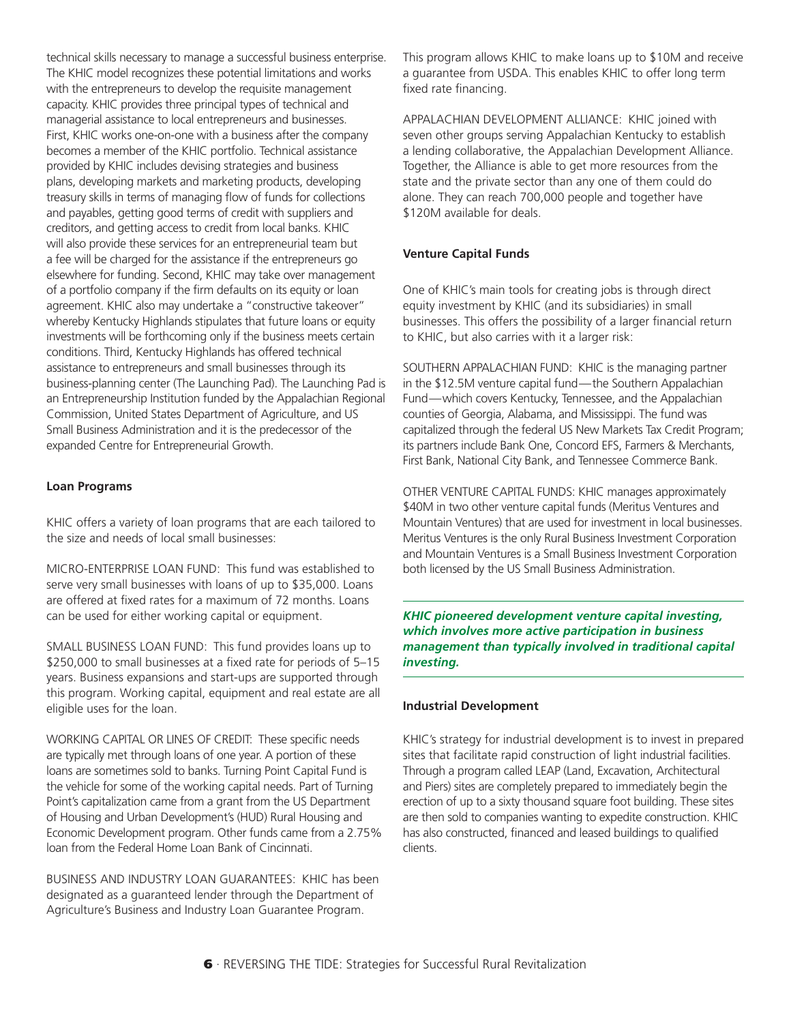technical skills necessary to manage a successful business enterprise. The KHIC model recognizes these potential limitations and works with the entrepreneurs to develop the requisite management capacity. KHIC provides three principal types of technical and managerial assistance to local entrepreneurs and businesses. First, KHIC works one-on-one with a business after the company becomes a member of the KHIC portfolio. Technical assistance provided by KHIC includes devising strategies and business plans, developing markets and marketing products, developing treasury skills in terms of managing flow of funds for collections and payables, getting good terms of credit with suppliers and creditors, and getting access to credit from local banks. KHIC will also provide these services for an entrepreneurial team but a fee will be charged for the assistance if the entrepreneurs go elsewhere for funding. Second, KHIC may take over management of a portfolio company if the firm defaults on its equity or loan agreement. KHIC also may undertake a "constructive takeover" whereby Kentucky Highlands stipulates that future loans or equity investments will be forthcoming only if the business meets certain conditions. Third, Kentucky Highlands has offered technical assistance to entrepreneurs and small businesses through its business-planning center (The Launching Pad). The Launching Pad is an Entrepreneurship Institution funded by the Appalachian Regional Commission, United States Department of Agriculture, and US Small Business Administration and it is the predecessor of the expanded Centre for Entrepreneurial Growth.

#### **Loan Programs**

KHIC offers a variety of loan programs that are each tailored to the size and needs of local small businesses:

MICRO-ENTERPRISE LOAN FUND: This fund was established to serve very small businesses with loans of up to \$35,000. Loans are offered at fixed rates for a maximum of 72 months. Loans can be used for either working capital or equipment.

SMALL BUSINESS LOAN FUND: This fund provides loans up to \$250,000 to small businesses at a fixed rate for periods of 5–15 years. Business expansions and start-ups are supported through this program. Working capital, equipment and real estate are all eligible uses for the loan.

WORKING CAPITAL OR LINES OF CREDIT: These specific needs are typically met through loans of one year. A portion of these loans are sometimes sold to banks. Turning Point Capital Fund is the vehicle for some of the working capital needs. Part of Turning Point's capitalization came from a grant from the US Department of Housing and Urban Development's (HUD) Rural Housing and Economic Development program. Other funds came from a 2.75% loan from the Federal Home Loan Bank of Cincinnati.

BUSINESS AND INDUSTRY LOAN GUARANTEES: KHIC has been designated as a guaranteed lender through the Department of Agriculture's Business and Industry Loan Guarantee Program.

This program allows KHIC to make loans up to \$10M and receive a guarantee from USDA. This enables KHIC to offer long term fixed rate financing.

APPALACHIAN DEVELOPMENT ALLIANCE: KHIC joined with seven other groups serving Appalachian Kentucky to establish a lending collaborative, the Appalachian Development Alliance. Together, the Alliance is able to get more resources from the state and the private sector than any one of them could do alone. They can reach 700,000 people and together have \$120M available for deals.

#### **Venture Capital Funds**

One of KHIC's main tools for creating jobs is through direct equity investment by KHIC (and its subsidiaries) in small businesses. This offers the possibility of a larger financial return to KHIC, but also carries with it a larger risk:

SOUTHERN APPALACHIAN FUND: KHIC is the managing partner in the \$12.5M venture capital fund-the Southern Appalachian Fund-which covers Kentucky, Tennessee, and the Appalachian counties of Georgia, Alabama, and Mississippi. The fund was capitalized through the federal US New Markets Tax Credit Program; its partners include Bank One, Concord EFS, Farmers & Merchants, First Bank, National City Bank, and Tennessee Commerce Bank.

OTHER VENTURE CAPITAL FUNDS: KHIC manages approximately \$40M in two other venture capital funds (Meritus Ventures and Mountain Ventures) that are used for investment in local businesses. Meritus Ventures is the only Rural Business Investment Corporation and Mountain Ventures is a Small Business Investment Corporation both licensed by the US Small Business Administration.

*KHIC pioneered development venture capital investing, which involves more active participation in business management than typically involved in traditional capital investing.*

#### **Industrial Development**

KHIC's strategy for industrial development is to invest in prepared sites that facilitate rapid construction of light industrial facilities. Through a program called LEAP (Land, Excavation, Architectural and Piers) sites are completely prepared to immediately begin the erection of up to a sixty thousand square foot building. These sites are then sold to companies wanting to expedite construction. KHIC has also constructed, financed and leased buildings to qualified clients.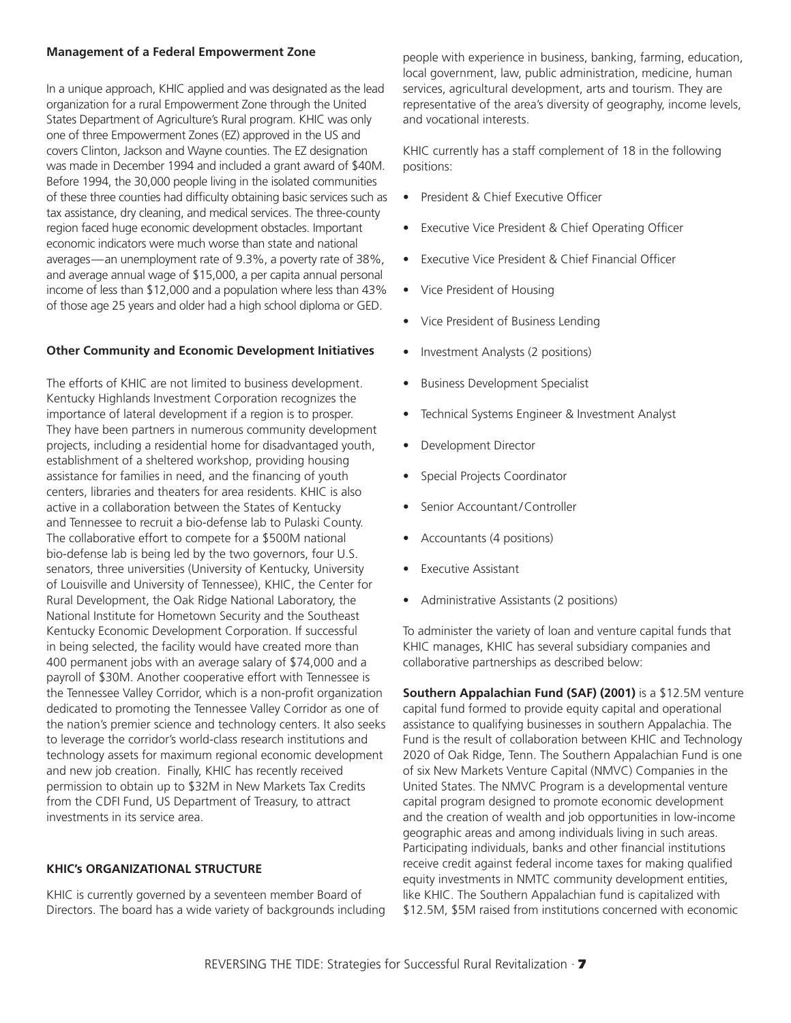#### **Management of a Federal Empowerment Zone**

In a unique approach, KHIC applied and was designated as the lead organization for a rural Empowerment Zone through the United States Department of Agriculture's Rural program. KHIC was only one of three Empowerment Zones (EZ) approved in the US and covers Clinton, Jackson and Wayne counties. The EZ designation was made in December 1994 and included a grant award of \$40M. Before 1994, the 30,000 people living in the isolated communities of these three counties had difficulty obtaining basic services such as tax assistance, dry cleaning, and medical services. The three-county region faced huge economic development obstacles. Important economic indicators were much worse than state and national averages — an unemployment rate of 9.3%, a poverty rate of 38%, and average annual wage of \$15,000, a per capita annual personal income of less than \$12,000 and a population where less than 43% of those age 25 years and older had a high school diploma or GED.

#### **Other Community and Economic Development Initiatives**

The efforts of KHIC are not limited to business development. Kentucky Highlands Investment Corporation recognizes the importance of lateral development if a region is to prosper. They have been partners in numerous community development projects, including a residential home for disadvantaged youth, establishment of a sheltered workshop, providing housing assistance for families in need, and the financing of youth centers, libraries and theaters for area residents. KHIC is also active in a collaboration between the States of Kentucky and Tennessee to recruit a bio-defense lab to Pulaski County. The collaborative effort to compete for a \$500M national bio-defense lab is being led by the two governors, four U.S. senators, three universities (University of Kentucky, University of Louisville and University of Tennessee), KHIC, the Center for Rural Development, the Oak Ridge National Laboratory, the National Institute for Hometown Security and the Southeast Kentucky Economic Development Corporation. If successful in being selected, the facility would have created more than 400 permanent jobs with an average salary of \$74,000 and a payroll of \$30M. Another cooperative effort with Tennessee is the Tennessee Valley Corridor, which is a non-profit organization dedicated to promoting the Tennessee Valley Corridor as one of the nation's premier science and technology centers. It also seeks to leverage the corridor's world-class research institutions and technology assets for maximum regional economic development and new job creation. Finally, KHIC has recently received permission to obtain up to \$32M in New Markets Tax Credits from the CDFI Fund, US Department of Treasury, to attract investments in its service area.

#### **KHIC's ORGANIZATIONAL STRUCTURE**

KHIC is currently governed by a seventeen member Board of Directors. The board has a wide variety of backgrounds including people with experience in business, banking, farming, education, local government, law, public administration, medicine, human services, agricultural development, arts and tourism. They are representative of the area's diversity of geography, income levels, and vocational interests.

KHIC currently has a staff complement of 18 in the following positions:

- President & Chief Executive Officer
- Executive Vice President & Chief Operating Officer
- Executive Vice President & Chief Financial Officer
- Vice President of Housing
- Vice President of Business Lending
- Investment Analysts (2 positions)
- Business Development Specialist
- Technical Systems Engineer & Investment Analyst
- Development Director
- Special Projects Coordinator
- Senior Accountant/Controller
- Accountants (4 positions)
- **Executive Assistant**
- Administrative Assistants (2 positions)

To administer the variety of loan and venture capital funds that KHIC manages, KHIC has several subsidiary companies and collaborative partnerships as described below:

**Southern Appalachian Fund (SAF) (2001)** is a \$12.5M venture capital fund formed to provide equity capital and operational assistance to qualifying businesses in southern Appalachia. The Fund is the result of collaboration between KHIC and Technology 2020 of Oak Ridge, Tenn. The Southern Appalachian Fund is one of six New Markets Venture Capital (NMVC) Companies in the United States. The NMVC Program is a developmental venture capital program designed to promote economic development and the creation of wealth and job opportunities in low-income geographic areas and among individuals living in such areas. Participating individuals, banks and other financial institutions receive credit against federal income taxes for making qualified equity investments in NMTC community development entities, like KHIC. The Southern Appalachian fund is capitalized with \$12.5M, \$5M raised from institutions concerned with economic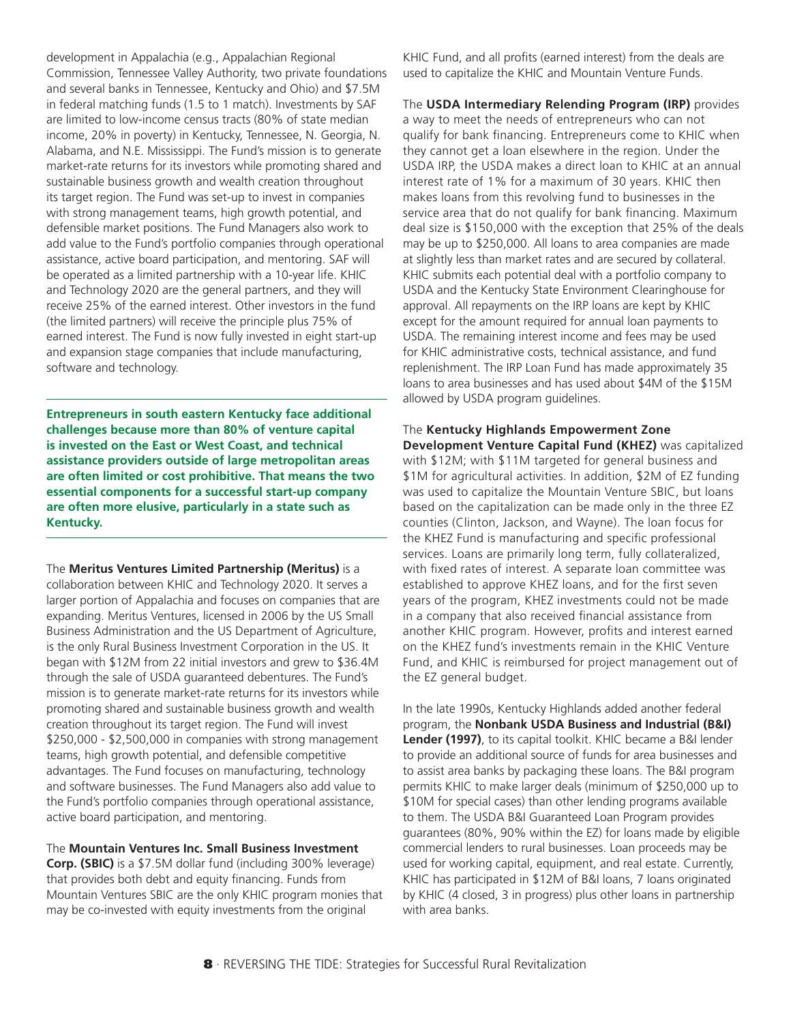development in Appalachia (e.g., Appalachian Regional Commission, Tennessee Valley Authority, two private foundations and several banks in Tennessee, Kentucky and Ohio) and \$7.5M in federal matching funds (1.5 to 1 match). Investments by SAF are limited to low-income census tracts (80% of state median income, 20% in poverty) in Kentucky, Tennessee, N. Georgia, N. Alabama, and N.E. Mississippi. The Fund's mission is to generate market-rate returns for its investors while promoting shared and sustainable business growth and wealth creation throughout its target region. The Fund was set-up to invest in companies with strong management teams, high growth potential, and defensible market positions. The Fund Managers also work to add value to the Fund's portfolio companies through operational assistance, active board participation, and mentoring. SAF will be operated as a limited partnership with a 10-year life. KHIC and Technology 2020 are the general partners, and they will receive 25% of the earned interest. Other investors in the fund (the limited partners) will receive the principle plus 75% of earned interest. The Fund is now fully invested in eight start-up and expansion stage companies that include manufacturing, software and technology.

**Entrepreneurs in south eastern Kentucky face additional challenges because more than 80% of venture capital is invested on the East or West Coast, and technical assistance providers outside of large metropolitan areas are often limited or cost prohibitive. That means the two essential components for a successful start-up company are often more elusive, particularly in a state such as Kentucky.**

The **Meritus Ventures Limited Partnership (Meritus)** is a

collaboration between KHIC and Technology 2020. It serves a larger portion of Appalachia and focuses on companies that are expanding. Meritus Ventures, licensed in 2006 by the US Small Business Administration and the US Department of Agriculture, is the only Rural Business Investment Corporation in the US. It began with \$12M from 22 initial investors and grew to \$36.4M through the sale of USDA guaranteed debentures. The Fund's mission is to generate market-rate returns for its investors while promoting shared and sustainable business growth and wealth creation throughout its target region. The Fund will invest \$250,000 - \$2,500,000 in companies with strong management teams, high growth potential, and defensible competitive advantages. The Fund focuses on manufacturing, technology and software businesses. The Fund Managers also add value to the Fund's portfolio companies through operational assistance, active board participation, and mentoring.

The **Mountain Ventures Inc. Small Business Investment Corp. (SBIC)** is a \$7.5M dollar fund (including 300% leverage) that provides both debt and equity financing. Funds from Mountain Ventures SBIC are the only KHIC program monies that may be co-invested with equity investments from the original

KHIC Fund, and all profits (earned interest) from the deals are used to capitalize the KHIC and Mountain Venture Funds.

The **USDA Intermediary Relending Program (IRP)** provides a way to meet the needs of entrepreneurs who can not qualify for bank financing. Entrepreneurs come to KHIC when they cannot get a loan elsewhere in the region. Under the USDA IRP, the USDA makes a direct loan to KHIC at an annual interest rate of 1% for a maximum of 30 years. KHIC then makes loans from this revolving fund to businesses in the service area that do not qualify for bank financing. Maximum deal size is \$150,000 with the exception that 25% of the deals may be up to \$250,000. All loans to area companies are made at slightly less than market rates and are secured by collateral. KHIC submits each potential deal with a portfolio company to USDA and the Kentucky State Environment Clearinghouse for approval. All repayments on the IRP loans are kept by KHIC except for the amount required for annual loan payments to USDA. The remaining interest income and fees may be used for KHIC administrative costs, technical assistance, and fund replenishment. The IRP Loan Fund has made approximately 35 loans to area businesses and has used about \$4M of the \$15M allowed by USDA program guidelines.

The **Kentucky Highlands Empowerment Zone Development Venture Capital Fund (KHEZ)** was capitalized with \$12M; with \$11M targeted for general business and \$1M for agricultural activities. In addition, \$2M of EZ funding was used to capitalize the Mountain Venture SBIC, but loans based on the capitalization can be made only in the three EZ counties (Clinton, Jackson, and Wayne). The loan focus for the KHEZ Fund is manufacturing and specific professional services. Loans are primarily long term, fully collateralized, with fixed rates of interest. A separate loan committee was established to approve KHEZ loans, and for the first seven years of the program, KHEZ investments could not be made in a company that also received financial assistance from another KHIC program. However, profits and interest earned on the KHEZ fund's investments remain in the KHIC Venture Fund, and KHIC is reimbursed for project management out of the EZ general budget.

In the late 1990s, Kentucky Highlands added another federal program, the **Nonbank USDA Business and Industrial (B&I) Lender (1997)**, to its capital toolkit. KHIC became a B&I lender to provide an additional source of funds for area businesses and to assist area banks by packaging these loans. The B&I program permits KHIC to make larger deals (minimum of \$250,000 up to \$10M for special cases) than other lending programs available to them. The USDA B&I Guaranteed Loan Program provides guarantees (80%, 90% within the EZ) for loans made by eligible commercial lenders to rural businesses. Loan proceeds may be used for working capital, equipment, and real estate. Currently, KHIC has participated in \$12M of B&I loans, 7 loans originated by KHIC (4 closed, 3 in progress) plus other loans in partnership with area banks.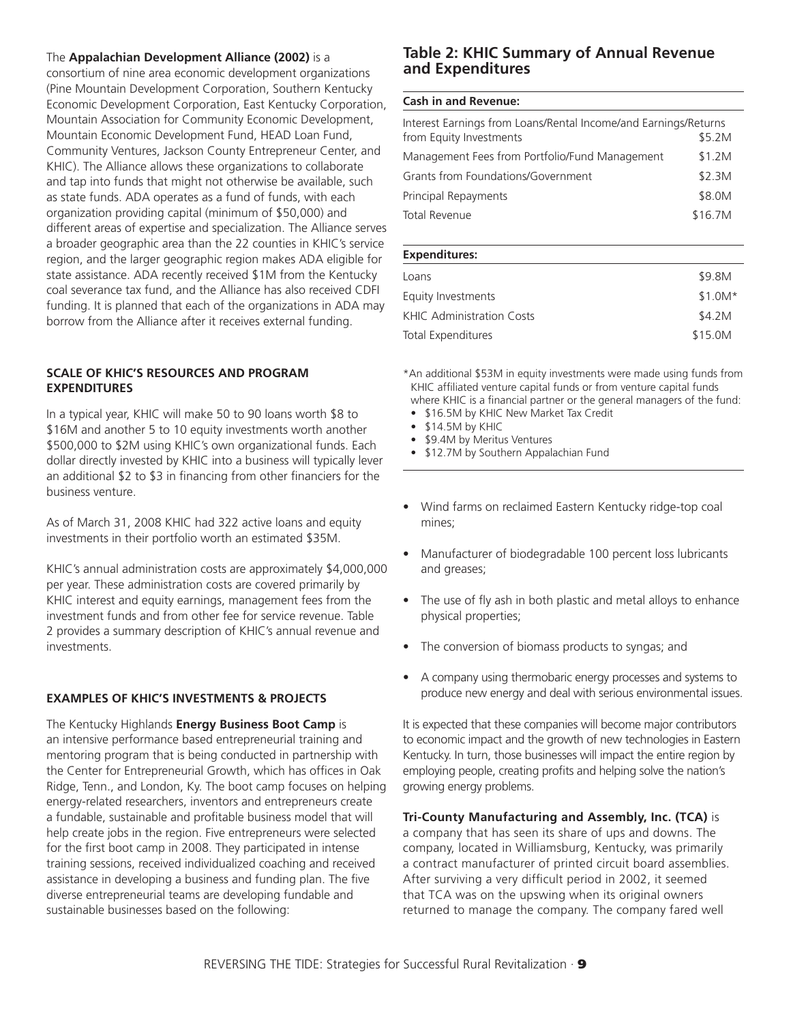#### The **Appalachian Development Alliance (2002)** is a

consortium of nine area economic development organizations (Pine Mountain Development Corporation, Southern Kentucky Economic Development Corporation, East Kentucky Corporation, Mountain Association for Community Economic Development, Mountain Economic Development Fund, HEAD Loan Fund, Community Ventures, Jackson County Entrepreneur Center, and KHIC). The Alliance allows these organizations to collaborate and tap into funds that might not otherwise be available, such as state funds. ADA operates as a fund of funds, with each organization providing capital (minimum of \$50,000) and different areas of expertise and specialization. The Alliance serves a broader geographic area than the 22 counties in KHIC's service region, and the larger geographic region makes ADA eligible for state assistance. ADA recently received \$1M from the Kentucky coal severance tax fund, and the Alliance has also received CDFI funding. It is planned that each of the organizations in ADA may borrow from the Alliance after it receives external funding.

#### **SCALE OF KHIC'S RESOURCES AND PROGRAM EXPENDITURES**

In a typical year, KHIC will make 50 to 90 loans worth \$8 to \$16M and another 5 to 10 equity investments worth another \$500,000 to \$2M using KHIC's own organizational funds. Each dollar directly invested by KHIC into a business will typically lever an additional \$2 to \$3 in financing from other financiers for the business venture.

As of March 31, 2008 KHIC had 322 active loans and equity investments in their portfolio worth an estimated \$35M.

KHIC's annual administration costs are approximately \$4,000,000 per year. These administration costs are covered primarily by KHIC interest and equity earnings, management fees from the investment funds and from other fee for service revenue. Table 2 provides a summary description of KHIC's annual revenue and investments.

#### **EXAMPLES OF KHIC'S INVESTMENTS & PROJECTS**

The Kentucky Highlands **Energy Business Boot Camp** is an intensive performance based entrepreneurial training and mentoring program that is being conducted in partnership with the Center for Entrepreneurial Growth, which has offices in Oak Ridge, Tenn., and London, Ky. The boot camp focuses on helping energy-related researchers, inventors and entrepreneurs create a fundable, sustainable and profitable business model that will help create jobs in the region. Five entrepreneurs were selected for the first boot camp in 2008. They participated in intense training sessions, received individualized coaching and received assistance in developing a business and funding plan. The five diverse entrepreneurial teams are developing fundable and sustainable businesses based on the following:

#### **Table 2: KHIC Summary of Annual Revenue and Expenditures**

#### **Cash in and Revenue:**

| Interest Earnings from Loans/Rental Income/and Earnings/Returns |         |  |  |
|-----------------------------------------------------------------|---------|--|--|
| from Equity Investments                                         | \$5.2M  |  |  |
| Management Fees from Portfolio/Fund Management                  | \$1.2M  |  |  |
| Grants from Foundations/Government                              | \$2.3M  |  |  |
| Principal Repayments                                            | \$8.0M  |  |  |
| <b>Total Revenue</b>                                            | \$16.7M |  |  |

#### **Expenditures:**

| \$9.8M   |
|----------|
| $$1.0M*$ |
| \$4.2M   |
| \$15.0M  |
|          |

\*An additional \$53M in equity investments were made using funds from KHIC affiliated venture capital funds or from venture capital funds where KHIC is a financial partner or the general managers of the fund:

- \$16.5M by KHIC New Market Tax Credit
- \$14.5M by KHIC
- \$9.4M by Meritus Ventures
- \$12.7M by Southern Appalachian Fund
- Wind farms on reclaimed Eastern Kentucky ridge-top coal mines;
- Manufacturer of biodegradable 100 percent loss lubricants and greases;
- The use of fly ash in both plastic and metal alloys to enhance physical properties;
- The conversion of biomass products to syngas; and
- A company using thermobaric energy processes and systems to produce new energy and deal with serious environmental issues.

It is expected that these companies will become major contributors to economic impact and the growth of new technologies in Eastern Kentucky. In turn, those businesses will impact the entire region by employing people, creating profits and helping solve the nation's growing energy problems.

**Tri-County Manufacturing and Assembly, Inc. (TCA)** is

a company that has seen its share of ups and downs. The company, located in Williamsburg, Kentucky, was primarily a contract manufacturer of printed circuit board assemblies. After surviving a very difficult period in 2002, it seemed that TCA was on the upswing when its original owners returned to manage the company. The company fared well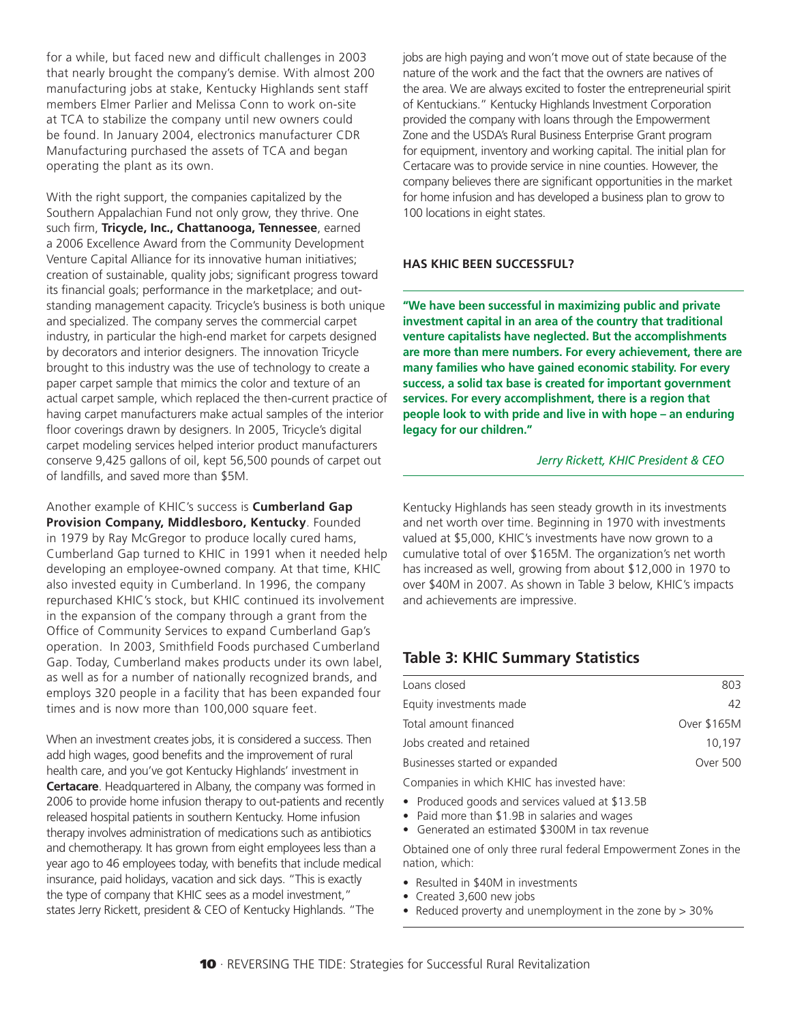for a while, but faced new and difficult challenges in 2003 that nearly brought the company's demise. With almost 200 manufacturing jobs at stake, Kentucky Highlands sent staff members Elmer Parlier and Melissa Conn to work on-site at TCA to stabilize the company until new owners could be found. In January 2004, electronics manufacturer CDR Manufacturing purchased the assets of TCA and began operating the plant as its own.

With the right support, the companies capitalized by the Southern Appalachian Fund not only grow, they thrive. One such firm, **Tricycle, Inc., Chattanooga, Tennessee**, earned a 2006 Excellence Award from the Community Development Venture Capital Alliance for its innovative human initiatives; creation of sustainable, quality jobs; significant progress toward its financial goals; performance in the marketplace; and outstanding management capacity. Tricycle's business is both unique and specialized. The company serves the commercial carpet industry, in particular the high-end market for carpets designed by decorators and interior designers. The innovation Tricycle brought to this industry was the use of technology to create a paper carpet sample that mimics the color and texture of an actual carpet sample, which replaced the then-current practice of having carpet manufacturers make actual samples of the interior floor coverings drawn by designers. In 2005, Tricycle's digital carpet modeling services helped interior product manufacturers conserve 9,425 gallons of oil, kept 56,500 pounds of carpet out of landfills, and saved more than \$5M.

Another example of KHIC's success is **Cumberland Gap Provision Company, Middlesboro, Kentucky**. Founded in 1979 by Ray McGregor to produce locally cured hams, Cumberland Gap turned to KHIC in 1991 when it needed help developing an employee-owned company. At that time, KHIC also invested equity in Cumberland. In 1996, the company repurchased KHIC's stock, but KHIC continued its involvement in the expansion of the company through a grant from the Office of Community Services to expand Cumberland Gap's operation. In 2003, Smithfield Foods purchased Cumberland Gap. Today, Cumberland makes products under its own label, as well as for a number of nationally recognized brands, and employs 320 people in a facility that has been expanded four times and is now more than 100,000 square feet.

When an investment creates jobs, it is considered a success. Then add high wages, good benefits and the improvement of rural health care, and you've got Kentucky Highlands' investment in **Certacare**. Headquartered in Albany, the company was formed in 2006 to provide home infusion therapy to out-patients and recently released hospital patients in southern Kentucky. Home infusion therapy involves administration of medications such as antibiotics and chemotherapy. It has grown from eight employees less than a year ago to 46 employees today, with benefits that include medical insurance, paid holidays, vacation and sick days. "This is exactly the type of company that KHIC sees as a model investment," states Jerry Rickett, president & CEO of Kentucky Highlands. "The

jobs are high paying and won't move out of state because of the nature of the work and the fact that the owners are natives of the area. We are always excited to foster the entrepreneurial spirit of Kentuckians." Kentucky Highlands Investment Corporation provided the company with loans through the Empowerment Zone and the USDA's Rural Business Enterprise Grant program for equipment, inventory and working capital. The initial plan for Certacare was to provide service in nine counties. However, the company believes there are significant opportunities in the market for home infusion and has developed a business plan to grow to 100 locations in eight states.

#### **HAS KHIC BEEN SUCCESSFUL?**

**"We have been successful in maximizing public and private investment capital in an area of the country that traditional venture capitalists have neglected. But the accomplishments are more than mere numbers. For every achievement, there are many families who have gained economic stability. For every success, a solid tax base is created for important government services. For every accomplishment, there is a region that people look to with pride and live in with hope – an enduring legacy for our children."**

#### *Jerry Rickett, KHIC President & CEO*

Kentucky Highlands has seen steady growth in its investments and net worth over time. Beginning in 1970 with investments valued at \$5,000, KHIC's investments have now grown to a cumulative total of over \$165M. The organization's net worth has increased as well, growing from about \$12,000 in 1970 to over \$40M in 2007. As shown in Table 3 below, KHIC's impacts and achievements are impressive.

#### **Table 3: KHIC Summary Statistics**

| Loans closed                               | 803         |
|--------------------------------------------|-------------|
| Equity investments made                    | 42          |
| Total amount financed                      | Over \$165M |
| Jobs created and retained                  | 10.197      |
| Businesses started or expanded             | Over 500    |
| Companies in which KHIC has invested have: |             |

- Produced goods and services valued at \$13.5B
- Paid more than \$1.9B in salaries and wages
- Generated an estimated \$300M in tax revenue

Obtained one of only three rural federal Empowerment Zones in the nation, which:

- Resulted in \$40M in investments
- Created 3,600 new jobs
- Reduced proverty and unemployment in the zone by > 30%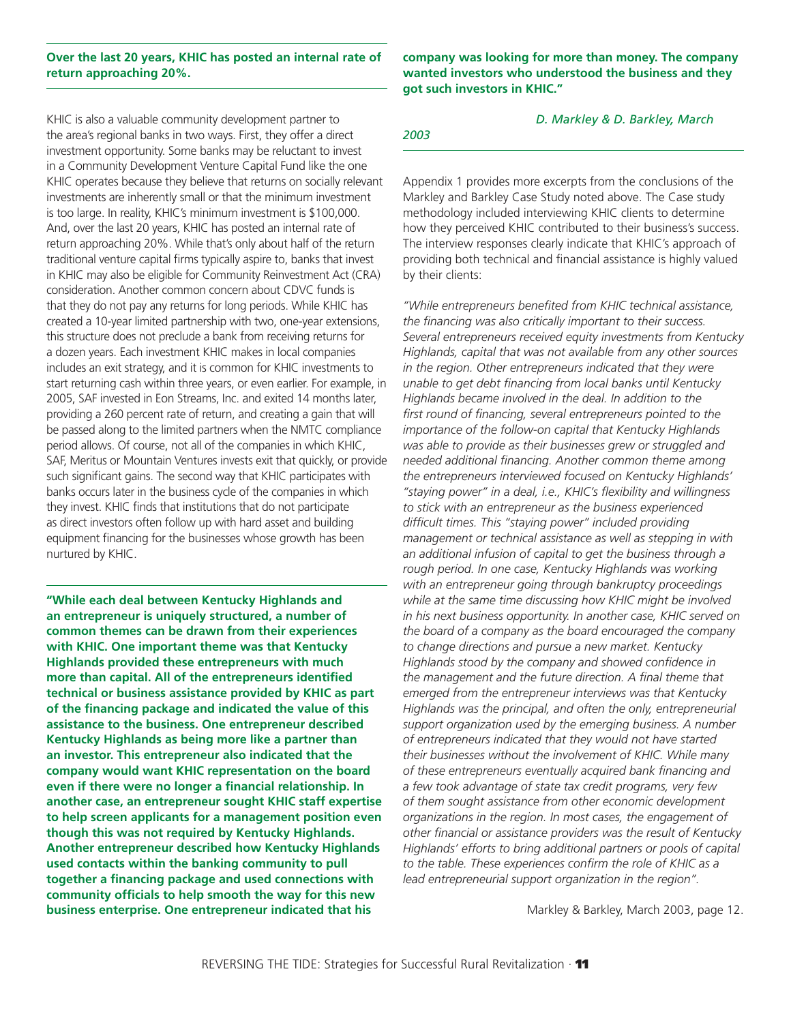#### **Over the last 20 years, KHIC has posted an internal rate of return approaching 20%.**

KHIC is also a valuable community development partner to the area's regional banks in two ways. First, they offer a direct investment opportunity. Some banks may be reluctant to invest in a Community Development Venture Capital Fund like the one KHIC operates because they believe that returns on socially relevant investments are inherently small or that the minimum investment is too large. In reality, KHIC's minimum investment is \$100,000. And, over the last 20 years, KHIC has posted an internal rate of return approaching 20%. While that's only about half of the return traditional venture capital firms typically aspire to, banks that invest in KHIC may also be eligible for Community Reinvestment Act (CRA) consideration. Another common concern about CDVC funds is that they do not pay any returns for long periods. While KHIC has created a 10-year limited partnership with two, one-year extensions, this structure does not preclude a bank from receiving returns for a dozen years. Each investment KHIC makes in local companies includes an exit strategy, and it is common for KHIC investments to start returning cash within three years, or even earlier. For example, in 2005, SAF invested in Eon Streams, Inc. and exited 14 months later, providing a 260 percent rate of return, and creating a gain that will be passed along to the limited partners when the NMTC compliance period allows. Of course, not all of the companies in which KHIC, SAF, Meritus or Mountain Ventures invests exit that quickly, or provide such significant gains. The second way that KHIC participates with banks occurs later in the business cycle of the companies in which they invest. KHIC finds that institutions that do not participate as direct investors often follow up with hard asset and building equipment financing for the businesses whose growth has been nurtured by KHIC.

**"While each deal between Kentucky Highlands and an entrepreneur is uniquely structured, a number of common themes can be drawn from their experiences with KHIC. One important theme was that Kentucky Highlands provided these entrepreneurs with much more than capital. All of the entrepreneurs identified technical or business assistance provided by KHIC as part of the financing package and indicated the value of this assistance to the business. One entrepreneur described Kentucky Highlands as being more like a partner than an investor. This entrepreneur also indicated that the company would want KHIC representation on the board even if there were no longer a financial relationship. In another case, an entrepreneur sought KHIC staff expertise to help screen applicants for a management position even though this was not required by Kentucky Highlands. Another entrepreneur described how Kentucky Highlands used contacts within the banking community to pull together a financing package and used connections with community officials to help smooth the way for this new business enterprise. One entrepreneur indicated that his** 

#### **company was looking for more than money. The company wanted investors who understood the business and they got such investors in KHIC."**

#### *D. Markley & D. Barkley, March*

*2003*

Appendix 1 provides more excerpts from the conclusions of the Markley and Barkley Case Study noted above. The Case study methodology included interviewing KHIC clients to determine how they perceived KHIC contributed to their business's success. The interview responses clearly indicate that KHIC's approach of providing both technical and financial assistance is highly valued by their clients:

*"While entrepreneurs benefited from KHIC technical assistance, the financing was also critically important to their success. Several entrepreneurs received equity investments from Kentucky Highlands, capital that was not available from any other sources in the region. Other entrepreneurs indicated that they were unable to get debt financing from local banks until Kentucky Highlands became involved in the deal. In addition to the first round of financing, several entrepreneurs pointed to the importance of the follow-on capital that Kentucky Highlands was able to provide as their businesses grew or struggled and needed additional financing. Another common theme among the entrepreneurs interviewed focused on Kentucky Highlands' "staying power" in a deal, i.e., KHIC's flexibility and willingness to stick with an entrepreneur as the business experienced difficult times. This "staying power" included providing management or technical assistance as well as stepping in with an additional infusion of capital to get the business through a rough period. In one case, Kentucky Highlands was working with an entrepreneur going through bankruptcy proceedings while at the same time discussing how KHIC might be involved in his next business opportunity. In another case, KHIC served on the board of a company as the board encouraged the company to change directions and pursue a new market. Kentucky Highlands stood by the company and showed confidence in the management and the future direction. A final theme that emerged from the entrepreneur interviews was that Kentucky Highlands was the principal, and often the only, entrepreneurial support organization used by the emerging business. A number of entrepreneurs indicated that they would not have started their businesses without the involvement of KHIC. While many of these entrepreneurs eventually acquired bank financing and a few took advantage of state tax credit programs, very few of them sought assistance from other economic development organizations in the region. In most cases, the engagement of other financial or assistance providers was the result of Kentucky Highlands' efforts to bring additional partners or pools of capital to the table. These experiences confirm the role of KHIC as a lead entrepreneurial support organization in the region".* 

Markley & Barkley, March 2003, page 12.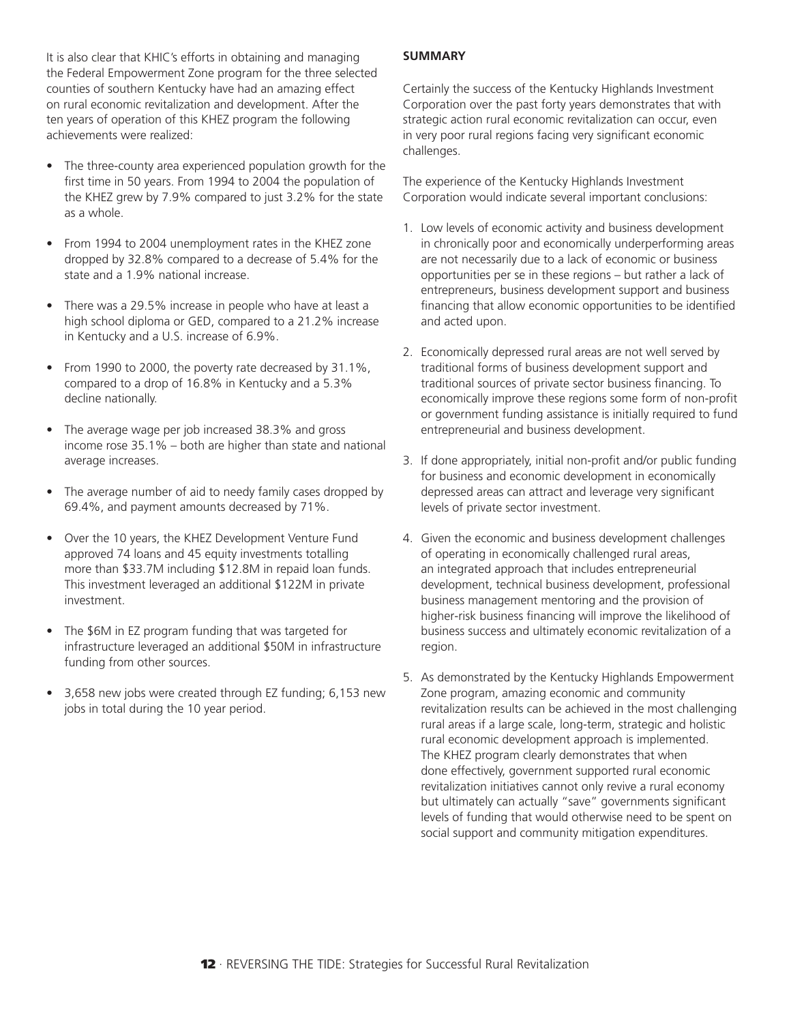It is also clear that KHIC's efforts in obtaining and managing the Federal Empowerment Zone program for the three selected counties of southern Kentucky have had an amazing effect on rural economic revitalization and development. After the ten years of operation of this KHEZ program the following achievements were realized:

- The three-county area experienced population growth for the first time in 50 years. From 1994 to 2004 the population of the KHEZ grew by 7.9% compared to just 3.2% for the state as a whole.
- From 1994 to 2004 unemployment rates in the KHEZ zone dropped by 32.8% compared to a decrease of 5.4% for the state and a 1.9% national increase.
- There was a 29.5% increase in people who have at least a high school diploma or GED, compared to a 21.2% increase in Kentucky and a U.S. increase of 6.9%.
- From 1990 to 2000, the poverty rate decreased by 31.1%, compared to a drop of 16.8% in Kentucky and a 5.3% decline nationally.
- The average wage per job increased 38.3% and gross income rose 35.1% – both are higher than state and national average increases.
- The average number of aid to needy family cases dropped by 69.4%, and payment amounts decreased by 71%.
- Over the 10 years, the KHEZ Development Venture Fund approved 74 loans and 45 equity investments totalling more than \$33.7M including \$12.8M in repaid loan funds. This investment leveraged an additional \$122M in private investment.
- The \$6M in EZ program funding that was targeted for infrastructure leveraged an additional \$50M in infrastructure funding from other sources.
- 3,658 new jobs were created through EZ funding; 6,153 new jobs in total during the 10 year period.

#### **SUMMARY**

Certainly the success of the Kentucky Highlands Investment Corporation over the past forty years demonstrates that with strategic action rural economic revitalization can occur, even in very poor rural regions facing very significant economic challenges.

The experience of the Kentucky Highlands Investment Corporation would indicate several important conclusions:

- 1. Low levels of economic activity and business development in chronically poor and economically underperforming areas are not necessarily due to a lack of economic or business opportunities per se in these regions – but rather a lack of entrepreneurs, business development support and business financing that allow economic opportunities to be identified and acted upon.
- 2. Economically depressed rural areas are not well served by traditional forms of business development support and traditional sources of private sector business financing. To economically improve these regions some form of non-profit or government funding assistance is initially required to fund entrepreneurial and business development.
- 3. If done appropriately, initial non-profit and/or public funding for business and economic development in economically depressed areas can attract and leverage very significant levels of private sector investment.
- 4. Given the economic and business development challenges of operating in economically challenged rural areas, an integrated approach that includes entrepreneurial development, technical business development, professional business management mentoring and the provision of higher-risk business financing will improve the likelihood of business success and ultimately economic revitalization of a region.
- 5. As demonstrated by the Kentucky Highlands Empowerment Zone program, amazing economic and community revitalization results can be achieved in the most challenging rural areas if a large scale, long-term, strategic and holistic rural economic development approach is implemented. The KHEZ program clearly demonstrates that when done effectively, government supported rural economic revitalization initiatives cannot only revive a rural economy but ultimately can actually "save" governments significant levels of funding that would otherwise need to be spent on social support and community mitigation expenditures.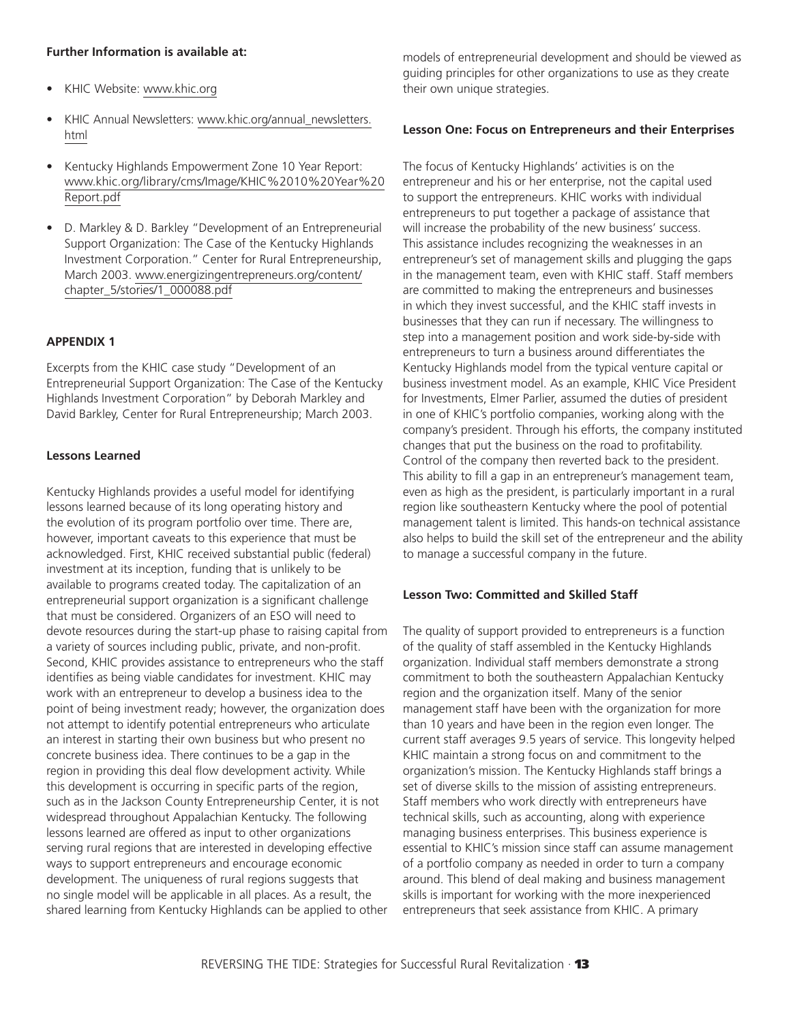#### **Further Information is available at:**

- KHIC Website: [www.khic.org](http://www.khic.org)
- KHIC Annual Newsletters: [www.khic.org/annual\\_newsletters.](http://www.khic.org/annual_newsletters.html) [html](http://www.khic.org/annual_newsletters.html)
- Kentucky Highlands Empowerment Zone 10 Year Report: [www.khic.org/library/cms/Image/KHIC%2010%20Year%20](http://www.khic.org/library/cms/Image/KHIC%2010%20Year%20Report.pdf) [Report.pdf](http://www.khic.org/library/cms/Image/KHIC%2010%20Year%20Report.pdf)
- D. Markley & D. Barkley "Development of an Entrepreneurial Support Organization: The Case of the Kentucky Highlands Investment Corporation." Center for Rural Entrepreneurship, March 2003. [www.energizingentrepreneurs.org/content/](http://www.energizingentrepreneurs.org/content/chapter_5/stories/1_000088.pdf) [chapter\\_5/stories/1\\_000088.pdf](http://www.energizingentrepreneurs.org/content/chapter_5/stories/1_000088.pdf)

#### **APPENDIX 1**

Excerpts from the KHIC case study "Development of an Entrepreneurial Support Organization: The Case of the Kentucky Highlands Investment Corporation" by Deborah Markley and David Barkley, Center for Rural Entrepreneurship; March 2003.

#### **Lessons Learned**

Kentucky Highlands provides a useful model for identifying lessons learned because of its long operating history and the evolution of its program portfolio over time. There are, however, important caveats to this experience that must be acknowledged. First, KHIC received substantial public (federal) investment at its inception, funding that is unlikely to be available to programs created today. The capitalization of an entrepreneurial support organization is a significant challenge that must be considered. Organizers of an ESO will need to devote resources during the start-up phase to raising capital from a variety of sources including public, private, and non-profit. Second, KHIC provides assistance to entrepreneurs who the staff identifies as being viable candidates for investment. KHIC may work with an entrepreneur to develop a business idea to the point of being investment ready; however, the organization does not attempt to identify potential entrepreneurs who articulate an interest in starting their own business but who present no concrete business idea. There continues to be a gap in the region in providing this deal flow development activity. While this development is occurring in specific parts of the region, such as in the Jackson County Entrepreneurship Center, it is not widespread throughout Appalachian Kentucky. The following lessons learned are offered as input to other organizations serving rural regions that are interested in developing effective ways to support entrepreneurs and encourage economic development. The uniqueness of rural regions suggests that no single model will be applicable in all places. As a result, the shared learning from Kentucky Highlands can be applied to other models of entrepreneurial development and should be viewed as guiding principles for other organizations to use as they create their own unique strategies.

#### **Lesson One: Focus on Entrepreneurs and their Enterprises**

The focus of Kentucky Highlands' activities is on the entrepreneur and his or her enterprise, not the capital used to support the entrepreneurs. KHIC works with individual entrepreneurs to put together a package of assistance that will increase the probability of the new business' success. This assistance includes recognizing the weaknesses in an entrepreneur's set of management skills and plugging the gaps in the management team, even with KHIC staff. Staff members are committed to making the entrepreneurs and businesses in which they invest successful, and the KHIC staff invests in businesses that they can run if necessary. The willingness to step into a management position and work side-by-side with entrepreneurs to turn a business around differentiates the Kentucky Highlands model from the typical venture capital or business investment model. As an example, KHIC Vice President for Investments, Elmer Parlier, assumed the duties of president in one of KHIC's portfolio companies, working along with the company's president. Through his efforts, the company instituted changes that put the business on the road to profitability. Control of the company then reverted back to the president. This ability to fill a gap in an entrepreneur's management team, even as high as the president, is particularly important in a rural region like southeastern Kentucky where the pool of potential management talent is limited. This hands-on technical assistance also helps to build the skill set of the entrepreneur and the ability to manage a successful company in the future.

#### **Lesson Two: Committed and Skilled Staff**

The quality of support provided to entrepreneurs is a function of the quality of staff assembled in the Kentucky Highlands organization. Individual staff members demonstrate a strong commitment to both the southeastern Appalachian Kentucky region and the organization itself. Many of the senior management staff have been with the organization for more than 10 years and have been in the region even longer. The current staff averages 9.5 years of service. This longevity helped KHIC maintain a strong focus on and commitment to the organization's mission. The Kentucky Highlands staff brings a set of diverse skills to the mission of assisting entrepreneurs. Staff members who work directly with entrepreneurs have technical skills, such as accounting, along with experience managing business enterprises. This business experience is essential to KHIC's mission since staff can assume management of a portfolio company as needed in order to turn a company around. This blend of deal making and business management skills is important for working with the more inexperienced entrepreneurs that seek assistance from KHIC. A primary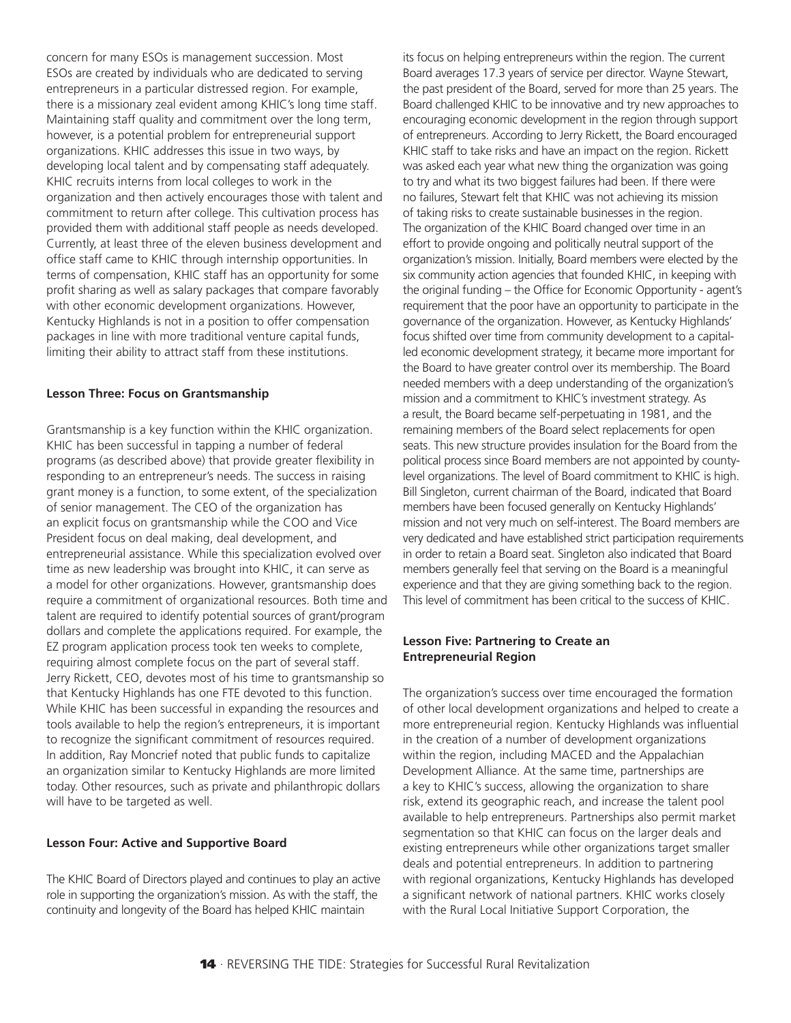concern for many ESOs is management succession. Most ESOs are created by individuals who are dedicated to serving entrepreneurs in a particular distressed region. For example, there is a missionary zeal evident among KHIC's long time staff. Maintaining staff quality and commitment over the long term, however, is a potential problem for entrepreneurial support organizations. KHIC addresses this issue in two ways, by developing local talent and by compensating staff adequately. KHIC recruits interns from local colleges to work in the organization and then actively encourages those with talent and commitment to return after college. This cultivation process has provided them with additional staff people as needs developed. Currently, at least three of the eleven business development and office staff came to KHIC through internship opportunities. In terms of compensation, KHIC staff has an opportunity for some profit sharing as well as salary packages that compare favorably with other economic development organizations. However, Kentucky Highlands is not in a position to offer compensation packages in line with more traditional venture capital funds, limiting their ability to attract staff from these institutions.

#### **Lesson Three: Focus on Grantsmanship**

Grantsmanship is a key function within the KHIC organization. KHIC has been successful in tapping a number of federal programs (as described above) that provide greater flexibility in responding to an entrepreneur's needs. The success in raising grant money is a function, to some extent, of the specialization of senior management. The CEO of the organization has an explicit focus on grantsmanship while the COO and Vice President focus on deal making, deal development, and entrepreneurial assistance. While this specialization evolved over time as new leadership was brought into KHIC, it can serve as a model for other organizations. However, grantsmanship does require a commitment of organizational resources. Both time and talent are required to identify potential sources of grant/program dollars and complete the applications required. For example, the EZ program application process took ten weeks to complete, requiring almost complete focus on the part of several staff. Jerry Rickett, CEO, devotes most of his time to grantsmanship so that Kentucky Highlands has one FTE devoted to this function. While KHIC has been successful in expanding the resources and tools available to help the region's entrepreneurs, it is important to recognize the significant commitment of resources required. In addition, Ray Moncrief noted that public funds to capitalize an organization similar to Kentucky Highlands are more limited today. Other resources, such as private and philanthropic dollars will have to be targeted as well.

#### **Lesson Four: Active and Supportive Board**

The KHIC Board of Directors played and continues to play an active role in supporting the organization's mission. As with the staff, the continuity and longevity of the Board has helped KHIC maintain

its focus on helping entrepreneurs within the region. The current Board averages 17.3 years of service per director. Wayne Stewart, the past president of the Board, served for more than 25 years. The Board challenged KHIC to be innovative and try new approaches to encouraging economic development in the region through support of entrepreneurs. According to Jerry Rickett, the Board encouraged KHIC staff to take risks and have an impact on the region. Rickett was asked each year what new thing the organization was going to try and what its two biggest failures had been. If there were no failures, Stewart felt that KHIC was not achieving its mission of taking risks to create sustainable businesses in the region. The organization of the KHIC Board changed over time in an effort to provide ongoing and politically neutral support of the organization's mission. Initially, Board members were elected by the six community action agencies that founded KHIC, in keeping with the original funding – the Office for Economic Opportunity - agent's requirement that the poor have an opportunity to participate in the governance of the organization. However, as Kentucky Highlands' focus shifted over time from community development to a capitalled economic development strategy, it became more important for the Board to have greater control over its membership. The Board needed members with a deep understanding of the organization's mission and a commitment to KHIC's investment strategy. As a result, the Board became self-perpetuating in 1981, and the remaining members of the Board select replacements for open seats. This new structure provides insulation for the Board from the political process since Board members are not appointed by countylevel organizations. The level of Board commitment to KHIC is high. Bill Singleton, current chairman of the Board, indicated that Board members have been focused generally on Kentucky Highlands' mission and not very much on self-interest. The Board members are very dedicated and have established strict participation requirements in order to retain a Board seat. Singleton also indicated that Board members generally feel that serving on the Board is a meaningful experience and that they are giving something back to the region. This level of commitment has been critical to the success of KHIC.

#### **Lesson Five: Partnering to Create an Entrepreneurial Region**

The organization's success over time encouraged the formation of other local development organizations and helped to create a more entrepreneurial region. Kentucky Highlands was influential in the creation of a number of development organizations within the region, including MACED and the Appalachian Development Alliance. At the same time, partnerships are a key to KHIC's success, allowing the organization to share risk, extend its geographic reach, and increase the talent pool available to help entrepreneurs. Partnerships also permit market segmentation so that KHIC can focus on the larger deals and existing entrepreneurs while other organizations target smaller deals and potential entrepreneurs. In addition to partnering with regional organizations, Kentucky Highlands has developed a significant network of national partners. KHIC works closely with the Rural Local Initiative Support Corporation, the